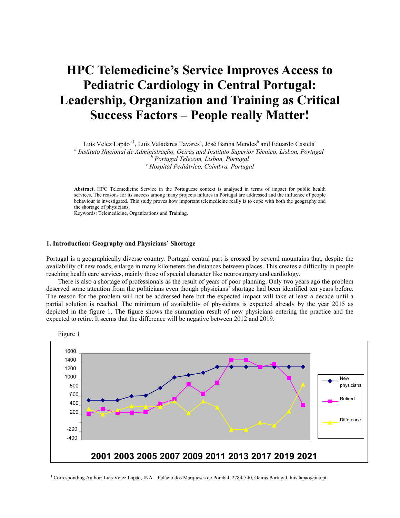# **HPC Telemedicine's Service Improves Access to Pediatric Cardiology in Central Portugal: Leadership, Organization and Training as Critical Success Factors – People really Matter!**

Luís Velez Lapão $^{\mathrm{a},\mathrm{l}}$ , Luís Valadares Tavares $^{\mathrm{a}}$ , José Banha Mendes $^{\mathrm{b}}$  and Eduardo Castela $^{\mathrm{c}}$ *a Instituto Nacional de Administração, Oeiras and Instituto Superior Técnico, Lisbon, Portugal b Portugal Telecom, Lisbon, Portugal <sup>c</sup> Hospital Pediátrico, Coimbra, Portugal*

**Abstract.** HPC Telemedicine Service in the Portuguese context is analysed in terms of impact for public health services. The reasons for its success among many projects failures in Portugal are addressed and the influence of people behaviour is investigated. This study proves how important telemedicine really is to cope with both the geography and the shortage of physicians.

Keywords: Telemedicine, Organizations and Training.

#### **1. Introduction: Geography and Physicians' Shortage**

Portugal is a geographically diverse country. Portugal central part is crossed by several mountains that, despite the availability of new roads, enlarge in many kilometers the distances between places. This creates a difficulty in people reaching health care services, mainly those of special character like neurosurgery and cardiology.

There is also a shortage of professionals as the result of years of poor planning. Only two years ago the problem deserved some attention from the politicians even though physicians' shortage had been identified ten years before. The reason for the problem will not be addressed here but the expected impact will take at least a decade until a partial solution is reached. The minimum of availability of physicians is expected already by the year 2015 as depicted in the figure 1. The figure shows the summation result of new physicians entering the practice and the expected to retire. It seems that the difference will be negative between 2012 and 2019.





<span id="page-0-0"></span><sup>&</sup>lt;sup>1</sup> Corresponding Author: Luís Velez Lapão, INA – Palácio dos Marqueses de Pombal, 2784-540, Oeiras Portugal. luis.lapao@ina.pt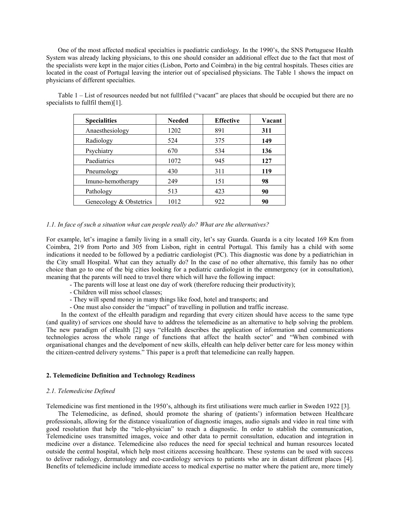One of the most affected medical specialties is paediatric cardiology. In the 1990's, the SNS Portuguese Health System was already lacking physicians, to this one should consider an additional effect due to the fact that most of the specialists were kept in the major cities (Lisbon, Porto and Coimbra) in the big central hospitals. Theses cities are located in the coast of Portugal leaving the interior out of specialised physicians. The Table 1 shows the impact on physicians of different specialties.

Table 1 – List of resources needed but not fullfiled ("vacant" are places that should be occupied but there are no specialists to fullfil them)[1].

| <b>Specialities</b>     | <b>Needed</b> | <b>Effective</b> | Vacant |
|-------------------------|---------------|------------------|--------|
| Anaesthesiology         | 1202          | 891              | 311    |
| Radiology               | 524           | 375              | 149    |
| Psychiatry              | 670           | 534              | 136    |
| Paediatrics             | 1072          | 945              | 127    |
| Pneumology              | 430           | 311              | 119    |
| Imuno-hemotherapy       | 249           | 151              | 98     |
| Pathology               | 513           | 423              | 90     |
| Genecology & Obstetrics | 1012          | 922              | 90     |

# *1.1. In face of such a situation what can people really do? What are the alternatives?*

For example, let's imagine a family living in a small city, let's say Guarda. Guarda is a city located 169 Km from Coimbra, 219 from Porto and 305 from Lisbon, right in central Portugal. This family has a child with some indications it needed to be followed by a pediatric cardiologist (PC). This diagnostic was done by a pediatrichian in the City small Hospital. What can they actually do? In the case of no other alternative, this family has no other choice than go to one of the big cities looking for a pediatric cardiologist in the emmergency (or in consultation), meaning that the parents will need to travel there which will have the following impact:

- The parents will lose at least one day of work (therefore reducing their productivity);
- Children will miss school classes;
- They will spend money in many things like food, hotel and transports; and
- One must also consider the "impact" of travelling in pollution and traffic increase.

In the context of the eHealth paradigm and regarding that every citizen should have access to the same type (and quality) of services one should have to address the telemedicine as an alternative to help solving the problem. The new paradigm of eHealth [2] says "eHealth describes the application of information and communications technologies across the whole range of functions that affect the health sector" and "When combined with organisational changes and the develpoment of new skills, eHealth can help deliver better care for less money within the citizen-centred delivery systems." This paper is a proft that telemedicine can really happen.

#### **2. Telemedicine Definition and Technology Readiness**

#### *2.1. Telemedicine Defined*

Telemedicine was first mentioned in the 1950's, although its first utilisations were much earlier in Sweden 1922 [3].

The Telemedicine, as defined, should promote the sharing of (patients') information between Healthcare professionals, allowing for the distance visualization of diagnostic images, audio signals and video in real time with good resolution that help the "tele-physician" to reach a diagnostic. In order to stablish the communication, Telemedicine uses transmitted images, voice and other data to permit consultation, education and integration in medicine over a distance. Telemedicine also reduces the need for special technical and human resources located outside the central hospital, which help most citizens accessing healthcare. These systems can be used with success to deliver radiology, dermatology and eco-cardiology services to patients who are in distant different places [4]. Benefits of telemedicine include immediate access to medical expertise no matter where the patient are, more timely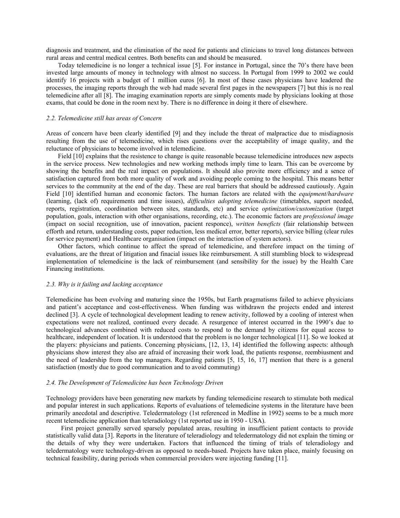diagnosis and treatment, and the elimination of the need for patients and clinicians to travel long distances between rural areas and central medical centres. Both benefits can and should be measured.

Today telemedicine is no longer a technical issue [5]. For instance in Portugal, since the 70's there have been invested large amounts of money in technology with almost no success. In Portugal from 1999 to 2002 we could identify 16 projects with a budget of 1 million euros [6]. In most of these cases physicians have leadered the processes, the imaging reports through the web had made several first pages in the newspapers [7] but this is no real telemedicine after all [8]. The imaging examination reports are simply coments made by physicians looking at those exams, that could be done in the room next by. There is no difference in doing it there of elsewhere.

# *2.2. Telemedicine still has areas of Concern*

Areas of concern have been clearly identified [9] and they include the threat of malpractice due to misdiagnosis resulting from the use of telemedicine, which rises questions over the acceptability of image quality, and the reluctance of physicians to become involved in telemedicine.

Field [10] explains that the resistence to change is quite reasonable because telemedicine introduces new aspects in the service process. New technologies and new working methods imply time to learn. This can be overcome by showing the benefits and the real impact on populations. It should also provite more efficiency and a sence of satisfaction captured from both more quality of work and avoiding people coming to the hospital. This means better services to the community at the end of the day. These are real barriers that should be addressed cautiously. Again Field [10] identified human and economic factors. The human factors are related with the *equipment/hardware* (learning, (lack of) requirements and time issues), *difficulties adopting telemedicine* (timetables, suport needed, reports, registration, coordination between sites, standards, etc) and service *optimization/customization* (target population, goals, interaction with other organisations, recording, etc.). The economic factors are *professional image* (impact on social recognition, use of innovation, pacient responce), *written beneficts* (fair relationship between efforth and return, understanding costs, paper reduction, less medical error, better reports), service billing (clear rules for service payment) and Healthcare organisation (impact on the interaction of system actors).

Other factors, which continue to affect the spread of telemedicine, and therefore impact on the timing of evaluations, are the threat of litigation and finacial issues like reimbursement. A still stumbling block to widespread implementation of telemedicine is the lack of reimbursement (and sensibility for the issue) by the Health Care Financing institutions.

# *2.3. Why is it failing and lacking acceptance*

Telemedicine has been evolving and maturing since the 1950s, but Earth pragmatisms failed to achieve physicians and patient's acceptance and cost-effectiveness. When funding was withdrawn the projects ended and interest declined [3]. A cycle of technological development leading to renew activity, followed by a cooling of interest when expectations were not realized, continued every decade. A resurgence of interest occurred in the 1990's due to technological advances combined with reduced costs to respond to the demand by citizens for equal access to healthcare, independent of location. It is understood that the problem is no longer technological [11]. So we looked at the players: physicians and patients. Concerning physicians, [12, 13, 14] identified the following aspects: although physicians show interest they also are afraid of increasing their work load, the patients response, reembiusment and the need of leadership from the top managers. Regarding patients [5, 15, 16, 17] mention that there is a general satisfaction (mostly due to good communication and to avoid commuting)

#### *2.4. The Development of Telemedicine has been Technology Driven*

Technology providers have been generating new markets by funding telemedicine research to stimulate both medical and popular interest in such applications. Reports of evaluations of telemedicine systems in the literature have been primarily anecdotal and descriptive. Teledermatology (1st referenced in Medline in 1992) seems to be a much more recent telemedicine application than teleradiology (1st reported use in 1950 - USA).

First project generally served sparsely populated areas, resulting in insufficient patient contacts to provide statistically valid data [3]. Reports in the literature of teleradiology and teledermatology did not explain the timing or the details of why they were undertaken. Factors that influenced the timing of trials of teleradiology and teledermatology were technology-driven as opposed to needs-based. Projects have taken place, mainly focusing on technical feasibility, during periods when commercial providers were injecting funding [11].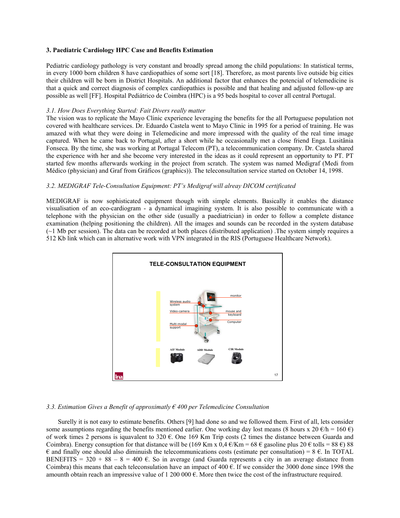# **3. Paediatric Cardiology HPC Case and Benefits Estimation**

Pediatric cardiology pathology is very constant and broadly spread among the child populations: In statistical terms, in every 1000 born children 8 have cardiopathies of some sort [18]. Therefore, as most parents live outside big cities their children will be born in District Hospitals. An additional factor that enhances the potencial of telemedicine is that a quick and correct diagnosis of complex cardiopathies is possible and that healing and adjusted follow-up are possible as well [FF]. Hospital Pediátrico de Coimbra (HPC) is a 95 beds hospital to cover all central Portugal.

#### *3.1. How Does Everything Started: Fait Divers really matter*

The vision was to replicate the Mayo Clinic experience leveraging the benefits for the all Portuguese population not covered with healthcare services. Dr. Eduardo Castela went to Mayo Clinic in 1995 for a period of training. He was amazed with what they were doing in Telemedicine and more impressed with the quality of the real time image captured. When he came back to Portugal, after a short while he occasionally met a close friend Enga. Lusitânia Fonseca. By the time, she was working at Portugal Telecom (PT), a telecommunication company. Dr. Castela shared the experience with her and she become very interested in the ideas as it could represent an opportunity to PT. PT started few months afterwards working in the project from scratch. The system was named Medigraf (Medi from Médico (physician) and Graf from Gráficos (graphics)). The teleconsultation service started on October 14, 1998.

# *3.2. MEDIGRAF Tele-Consultation Equipment: PT's Medigraf will alreay DICOM certificated*

MEDIGRAF is now sophisticated equipment though with simple elements. Basically it enables the distance visualisation of an eco-cardiogram - a dynamical imagining system. It is also possible to communicate with a telephone with the physician on the other side (usually a paediatrician) in order to follow a complete distance examination (helping positioning the children). All the images and sounds can be recorded in the system database (~1 Mb per session). The data can be recorded at both places (distributed application) .The system simply requires a 512 Kb link which can in alternative work with VPN integrated in the RIS (Portuguese Healthcare Network).



#### *3.3. Estimation Gives a Benefit of approximatly € 400 per Telemedicine Consultation*

Surelly it is not easy to estimate benefits. Others [9] had done so and we followed them. First of all, lets consider some assumptions regarding the benefits mentioned earlier. One working day lost means (8 hours x 20  $\epsilon/h = 160 \epsilon$ ) of work times 2 persons is iquavalent to 320  $\epsilon$ . One 169 Km Trip costs (2 times the distance between Guarda and Coimbra). Energy consuption for that distance will be (169 Km x 0,4  $\epsilon$ /Km = 68  $\epsilon$  gasoline plus 20  $\epsilon$  tolls = 88  $\epsilon$ ) 88  $\epsilon$  and finally one should also diminuish the telecommunications costs (estimate per consultation) = 8  $\epsilon$ . In TOTAL BENEFITS =  $320 + 88 - 8 = 400$  E. So in average (and Guarda represents a city in an average distance from Coimbra) this means that each teleconsulation have an impact of 400  $\epsilon$ . If we consider the 3000 done since 1998 the amounth obtain reach an impressive value of 1 200 000 €. More then twice the cost of the infrastructure required.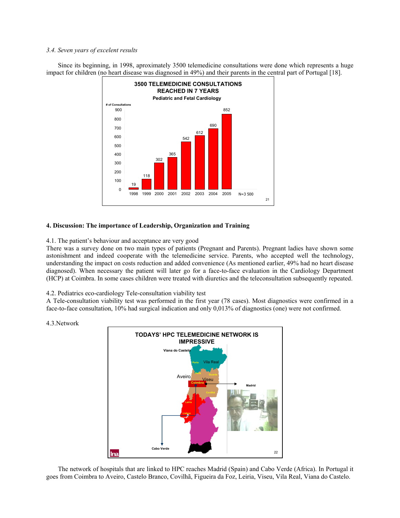# *3.4. Seven years of excelent results*

Since its beginning, in 1998, aproximately 3500 telemedicine consultations were done which represents a huge impact for children (no heart disease was diagnosed in 49%) and their parents in the central part of Portugal [18].



# **4. Discussion: The importance of Leadership, Organization and Training**

4.1. The patient's behaviour and acceptance are very good

There was a survey done on two main types of patients (Pregnant and Parents). Pregnant ladies have shown some astonishment and indeed cooperate with the telemedicine service. Parents, who accepted well the technology, understanding the impact on costs reduction and added convenience (As mentioned earlier, 49% had no heart disease diagnosed). When necessary the patient will later go for a face-to-face evaluation in the Cardiology Department (HCP) at Coimbra. In some cases children were treated with diuretics and the teleconsultation subsequently repeated.

4.2. Pediatrics eco-cardiology Tele-consultation viability test

A Tele-consultation viability test was performed in the first year (78 cases). Most diagnostics were confirmed in a face-to-face consultation, 10% had surgical indication and only 0,013% of diagnostics (one) were not confirmed.

# 4.3.Network



The network of hospitals that are linked to HPC reaches Madrid (Spain) and Cabo Verde (Africa). In Portugal it goes from Coimbra to Aveiro, Castelo Branco, Covilhã, Figueira da Foz, Leiria, Viseu, Vila Real, Viana do Castelo.